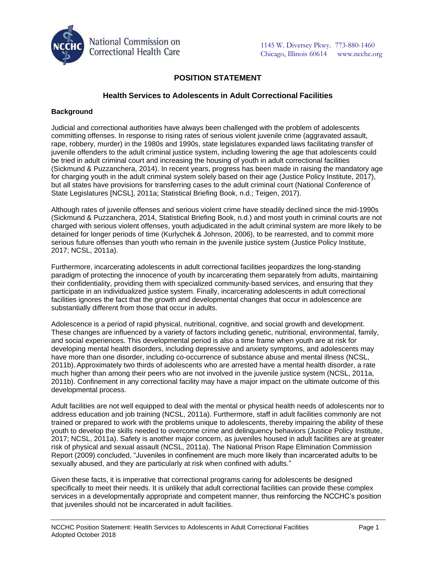

# **POSITION STATEMENT**

# **Health Services to Adolescents in Adult Correctional Facilities**

### **Background**

Judicial and correctional authorities have always been challenged with the problem of adolescents committing offenses. In response to rising rates of serious violent juvenile crime (aggravated assault, rape, robbery, murder) in the 1980s and 1990s, state legislatures expanded laws facilitating transfer of juvenile offenders to the adult criminal justice system, including lowering the age that adolescents could be tried in adult criminal court and increasing the housing of youth in adult correctional facilities (Sickmund & Puzzanchera, 2014). In recent years, progress has been made in raising the mandatory age for charging youth in the adult criminal system solely based on their age (Justice Policy Institute, 2017), but all states have provisions for transferring cases to the adult criminal court (National Conference of State Legislatures [NCSL], 2011a; Statistical Briefing Book, n.d.; Teigen, 2017).

Although rates of juvenile offenses and serious violent crime have steadily declined since the mid-1990s (Sickmund & Puzzanchera, 2014, Statistical Briefing Book, n.d.) and most youth in criminal courts are not charged with serious violent offenses, youth adjudicated in the adult criminal system are more likely to be detained for longer periods of time (Kurlychek & Johnson, 2006), to be rearrested, and to commit more serious future offenses than youth who remain in the juvenile justice system (Justice Policy Institute, 2017; NCSL, 2011a).

Furthermore, incarcerating adolescents in adult correctional facilities jeopardizes the long-standing paradigm of protecting the innocence of youth by incarcerating them separately from adults, maintaining their confidentiality, providing them with specialized community-based services, and ensuring that they participate in an individualized justice system. Finally, incarcerating adolescents in adult correctional facilities ignores the fact that the growth and developmental changes that occur in adolescence are substantially different from those that occur in adults.

Adolescence is a period of rapid physical, nutritional, cognitive, and social growth and development. These changes are influenced by a variety of factors including genetic, nutritional, environmental, family, and social experiences. This developmental period is also a time frame when youth are at risk for developing mental health disorders, including depressive and anxiety symptoms, and adolescents may have more than one disorder, including co-occurrence of substance abuse and mental illness (NCSL, 2011b). Approximately two thirds of adolescents who are arrested have a mental health disorder, a rate much higher than among their peers who are not involved in the juvenile justice system (NCSL, 2011a, 2011b). Confinement in any correctional facility may have a major impact on the ultimate outcome of this developmental process.

Adult facilities are not well equipped to deal with the mental or physical health needs of adolescents nor to address education and job training (NCSL, 2011a). Furthermore, staff in adult facilities commonly are not trained or prepared to work with the problems unique to adolescents, thereby impairing the ability of these youth to develop the skills needed to overcome crime and delinquency behaviors (Justice Policy Institute, 2017; NCSL, 2011a). Safety is another major concern, as juveniles housed in adult facilities are at greater risk of physical and sexual assault (NCSL, 2011a). The National Prison Rape Elimination Commission Report (2009) concluded, "Juveniles in confinement are much more likely than incarcerated adults to be sexually abused, and they are particularly at risk when confined with adults."

Given these facts, it is imperative that correctional programs caring for adolescents be designed specifically to meet their needs. It is unlikely that adult correctional facilities can provide these complex services in a developmentally appropriate and competent manner, thus reinforcing the NCCHC's position that juveniles should not be incarcerated in adult facilities.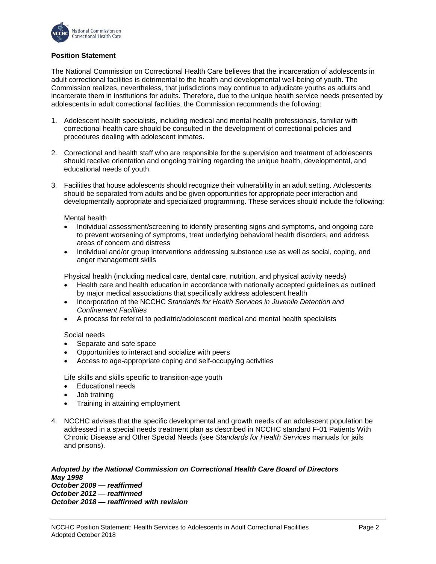

## **Position Statement**

The National Commission on Correctional Health Care believes that the incarceration of adolescents in adult correctional facilities is detrimental to the health and developmental well-being of youth. The Commission realizes, nevertheless, that jurisdictions may continue to adjudicate youths as adults and incarcerate them in institutions for adults. Therefore, due to the unique health service needs presented by adolescents in adult correctional facilities, the Commission recommends the following:

- 1. Adolescent health specialists, including medical and mental health professionals, familiar with correctional health care should be consulted in the development of correctional policies and procedures dealing with adolescent inmates.
- 2. Correctional and health staff who are responsible for the supervision and treatment of adolescents should receive orientation and ongoing training regarding the unique health, developmental, and educational needs of youth.
- 3. Facilities that house adolescents should recognize their vulnerability in an adult setting. Adolescents should be separated from adults and be given opportunities for appropriate peer interaction and developmentally appropriate and specialized programming. These services should include the following:

#### Mental health

- Individual assessment/screening to identify presenting signs and symptoms, and ongoing care to prevent worsening of symptoms, treat underlying behavioral health disorders, and address areas of concern and distress
- Individual and/or group interventions addressing substance use as well as social, coping, and anger management skills

Physical health (including medical care, dental care, nutrition, and physical activity needs)

- Health care and health education in accordance with nationally accepted guidelines as outlined by major medical associations that specifically address adolescent health
- Incorporation of the NCCHC S*tandards for Health Services in Juvenile Detention and Confinement Facilities*
- A process for referral to pediatric/adolescent medical and mental health specialists

#### Social needs

- Separate and safe space
- Opportunities to interact and socialize with peers
- Access to age-appropriate coping and self-occupying activities

Life skills and skills specific to transition-age youth

- Educational needs
- Job training
- Training in attaining employment
- 4. NCCHC advises that the specific developmental and growth needs of an adolescent population be addressed in a special needs treatment plan as described in NCCHC standard F-01 Patients With Chronic Disease and Other Special Needs (see *Standards for Health Services* manuals for jails and prisons).

#### *Adopted by the National Commission on Correctional Health Care Board of Directors May 1998 October 2009 — reaffirmed October 2012 — reaffirmed*

*October 2018 — reaffirmed with revision*